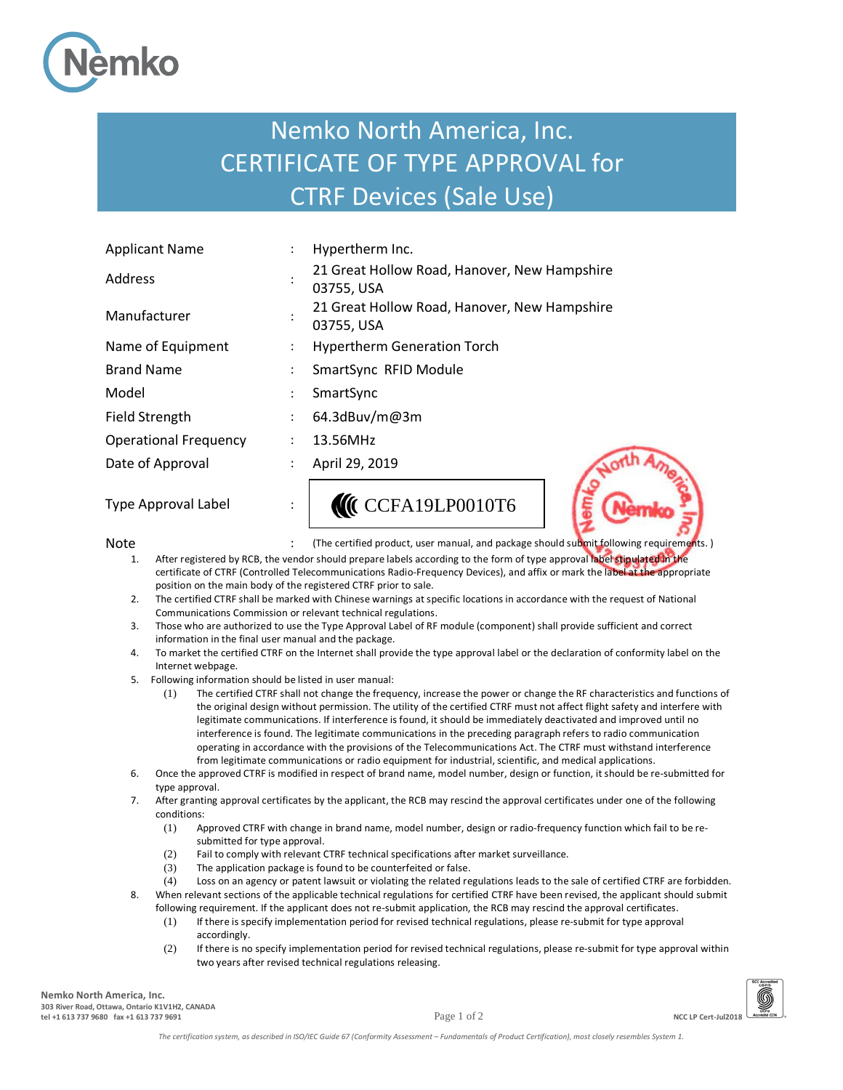

## Nemko North America, Inc. CERTIFICATE OF TYPE APPROVAL for CTRF Devices (Sale Use)

| <b>Applicant Name</b>        |           | Hypertherm Inc.                                            |
|------------------------------|-----------|------------------------------------------------------------|
| Address                      |           | 21 Great Hollow Road, Hanover, New Hampshire<br>03755, USA |
| Manufacturer                 |           | 21 Great Hollow Road, Hanover, New Hampshire<br>03755, USA |
| Name of Equipment            |           | <b>Hypertherm Generation Torch</b>                         |
| <b>Brand Name</b>            |           | SmartSync RFID Module                                      |
| Model                        |           | SmartSync                                                  |
| <b>Field Strength</b>        |           | 64.3dBuv/m@3m                                              |
| <b>Operational Frequency</b> |           | 13.56MHz                                                   |
| Date of Approval             |           | April 29, 2019                                             |
| <b>Type Approval Label</b>   | $\bullet$ | CCFA19LP0010T6                                             |

Note state of the certified product, user manual, and package should submit following requirements.)

- 1. After registered by RCB, the vendor should prepare labels according to the form of type approval label stipulated in the certificate of CTRF (Controlled Telecommunications Radio-Frequency Devices), and affix or mark the label at the appropriate position on the main body of the registered CTRF prior to sale.
- 2. The certified CTRF shall be marked with Chinese warnings at specific locations in accordance with the request of National Communications Commission or relevant technical regulations.
- 3. Those who are authorized to use the Type Approval Label of RF module (component) shall provide sufficient and correct information in the final user manual and the package.
- 4. To market the certified CTRF on the Internet shall provide the type approval label or the declaration of conformity label on the Internet webpage.
- 5. Following information should be listed in user manual:
	- (1) The certified CTRF shall not change the frequency, increase the power or change the RF characteristics and functions of the original design without permission. The utility of the certified CTRF must not affect flight safety and interfere with legitimate communications. If interference is found, it should be immediately deactivated and improved until no interference is found. The legitimate communications in the preceding paragraph refers to radio communication operating in accordance with the provisions of the Telecommunications Act. The CTRF must withstand interference from legitimate communications or radio equipment for industrial, scientific, and medical applications.
- 6. Once the approved CTRF is modified in respect of brand name, model number, design or function, it should be re-submitted for type approval.
- 7. After granting approval certificates by the applicant, the RCB may rescind the approval certificates under one of the following conditions:
	- (1) Approved CTRF with change in brand name, model number, design or radio-frequency function which fail to be resubmitted for type approval.
	- (2) Fail to comply with relevant CTRF technical specifications after market surveillance.
	- (3) The application package is found to be counterfeited or false.
	- (4) Loss on an agency or patent lawsuit or violating the related regulations leads to the sale of certified CTRF are forbidden. 8. When relevant sections of the applicable technical regulations for certified CTRF have been revised, the applicant should submit
		- following requirement. If the applicant does not re-submit application, the RCB may rescind the approval certificates. (1) If there is specify implementation period for revised technical regulations, please re-submit for type approval accordingly.
		- (2) If there is no specify implementation period for revised technical regulations, please re-submit for type approval within two years after revised technical regulations releasing.

**Nemko North America, Inc. 303 River Road, Ottawa, Ontario K1V1H2, CANADA tel +1 613 737 9680 fax +1 613 737 9691** Page 1 of 2 **NCC LP Cert-Jul2018**